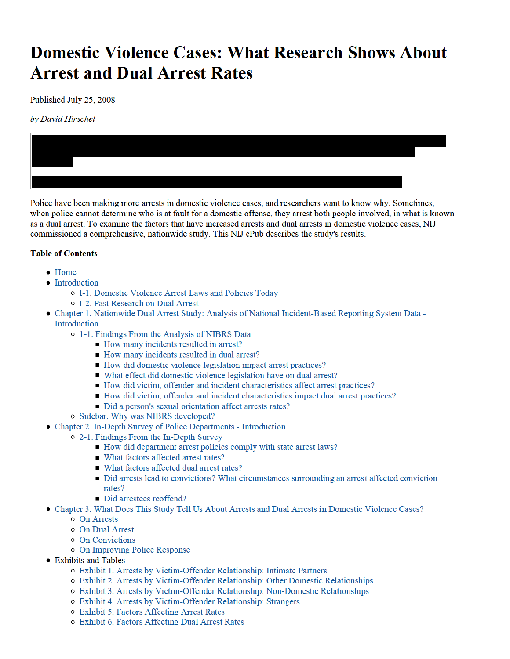# **Domestic Violence Cases: What Research Shows About Arrest and Dual Arrest Rates**

Published July 25, 2008

by David Hirschel



Police have been making more arrests in domestic violence cases, and researchers want to know why. Sometimes, when police cannot determine who is at fault for a domestic offense, they arrest both people involved, in what is known as a dual arrest. To examine the factors that have increased arrests and dual arrests in domestic violence cases, NIJ commissioned a comprehensive, nationwide study. This NIJ ePub describes the study's results.

#### **Table of Contents**

- $\bullet$  Home
- Introduction
	- o I-1. Domestic Violence Arrest Laws and Policies Today
	- o I-2. Past Research on Dual Arrest
- Chapter 1. Nationwide Dual Arrest Study: Analysis of National Incident-Based Reporting System Data -Introduction
	- o 1-1. Findings From the Analysis of NIBRS Data
		- How many incidents resulted in arrest?
		- How many incidents resulted in dual arrest?
		- How did domestic violence legislation impact arrest practices?
		- What effect did domestic violence legislation have on dual arrest?
		- How did victim, offender and incident characteristics affect arrest practices?
		- How did victim, offender and incident characteristics impact dual arrest practices?
		- Did a person's sexual orientation affect arrests rates?
	- o Sidebar. Why was NIBRS developed?
- Chapter 2. In-Depth Survey of Police Departments Introduction
	- o 2-1. Findings From the In-Depth Survey
		- How did department arrest policies comply with state arrest laws?
		- What factors affected arrest rates?
		- What factors affected dual arrest rates?
		- Did arrests lead to convictions? What circumstances surrounding an arrest affected conviction rates?
		- Did arrestees reoffend?
- Chapter 3. What Does This Study Tell Us About Arrests and Dual Arrests in Domestic Violence Cases?
	- o On Arrests
	- o On Dual Arrest
	- o On Convictions
	- o On Improving Police Response
- Exhibits and Tables
	- o Exhibit 1. Arrests by Victim-Offender Relationship: Intimate Partners
	- o Exhibit 2. Arrests by Victim-Offender Relationship: Other Domestic Relationships
	- o Exhibit 3. Arrests by Victim-Offender Relationship: Non-Domestic Relationships
	- o Exhibit 4. Arrests by Victim-Offender Relationship: Strangers
	- o Exhibit 5. Factors Affecting Arrest Rates
	- o Exhibit 6. Factors Affecting Dual Arrest Rates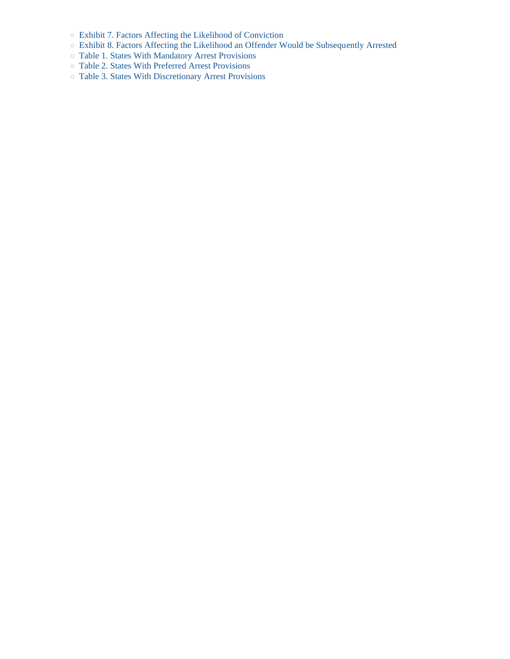- Exhibit 7. Factors Affecting the Likelihood of Conviction
- Exhibit 8. Factors Affecting the Likelihood an Offender Would be Subsequently Arrested
- Table 1. States With Mandatory Arrest Provisions
- Table 2. States With Preferred Arrest Provisions
- Table 3. States With Discretionary Arrest Provisions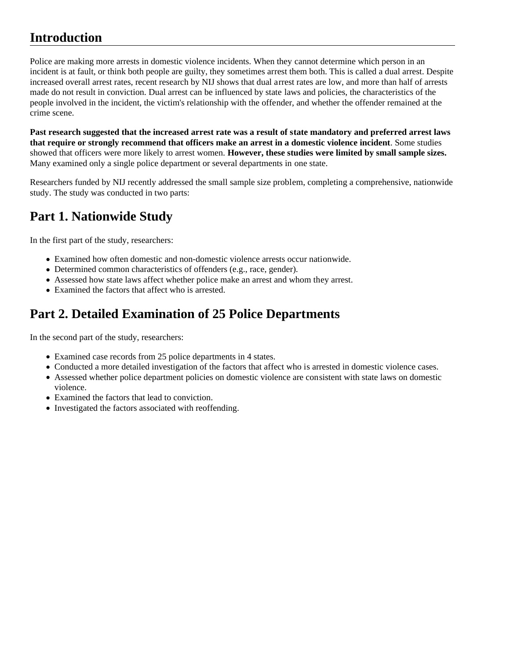Police are making more arrests in domestic violence incidents. When they cannot determine which person in an incident is at fault, or think both people are guilty, they sometimes arrest them both. This is called a dual arrest. Despite increased overall arrest rates, recent research by NIJ shows that dual arrest rates are low, and more than half of arrests made do not result in conviction. Dual arrest can be influenced by state laws and policies, the characteristics of the people involved in the incident, the victim's relationship with the offender, and whether the offender remained at the crime scene.

**Past research suggested that the increased arrest rate was a result of state mandatory and preferred arrest laws that require or strongly recommend that officers make an arrest in a domestic violence incident**. Some studies showed that officers were more likely to arrest women. **However, these studies were limited by small sample sizes.**  Many examined only a single police department or several departments in one state.

Researchers funded by NIJ recently addressed the small sample size problem, completing a comprehensive, nationwide study. The study was conducted in two parts:

# **Part 1. Nationwide Study**

In the first part of the study, researchers:

- Examined how often domestic and non-domestic violence arrests occur nationwide.
- Determined common characteristics of offenders (e.g., race, gender).
- Assessed how state laws affect whether police make an arrest and whom they arrest.
- Examined the factors that affect who is arrested.

## **Part 2. Detailed Examination of 25 Police Departments**

In the second part of the study, researchers:

- Examined case records from 25 police departments in 4 states.
- Conducted a more detailed investigation of the factors that affect who is arrested in domestic violence cases.
- Assessed whether police department policies on domestic violence are consistent with state laws on domestic violence.
- Examined the factors that lead to conviction.
- Investigated the factors associated with reoffending.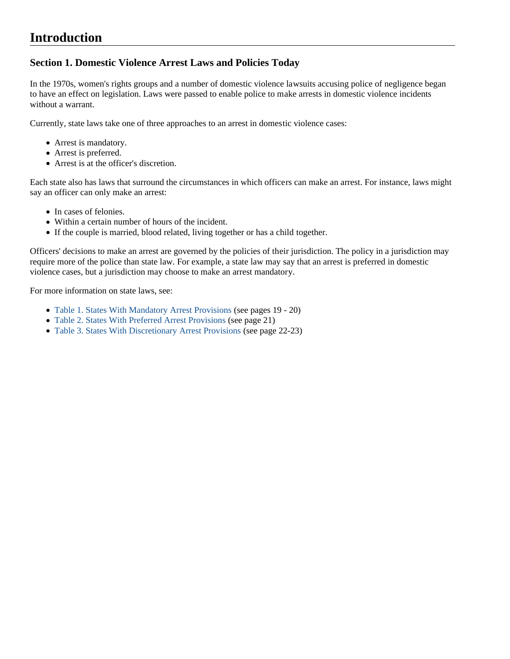### **Section 1. Domestic Violence Arrest Laws and Policies Today**

In the 1970s, women's rights groups and a number of domestic violence lawsuits accusing police of negligence began to have an effect on legislation. Laws were passed to enable police to make arrests in domestic violence incidents without a warrant.

Currently, state laws take one of three approaches to an arrest in domestic violence cases:

- Arrest is mandatory.
- Arrest is preferred.
- Arrest is at the officer's discretion.

Each state also has laws that surround the circumstances in which officers can make an arrest. For instance, laws might say an officer can only make an arrest:

- In cases of felonies.
- Within a certain number of hours of the incident.
- If the couple is married, blood related, living together or has a child together.

Officers' decisions to make an arrest are governed by the policies of their jurisdiction. The policy in a jurisdiction may require more of the police than state law. For example, a state law may say that an arrest is preferred in domestic violence cases, but a jurisdiction may choose to make an arrest mandatory.

For more information on state laws, see:

- Table 1. States With Mandatory Arrest Provisions (see pages 19 20)
- Table 2. States With Preferred Arrest Provisions (see page 21)
- Table 3. States With Discretionary Arrest Provisions (see page 22-23)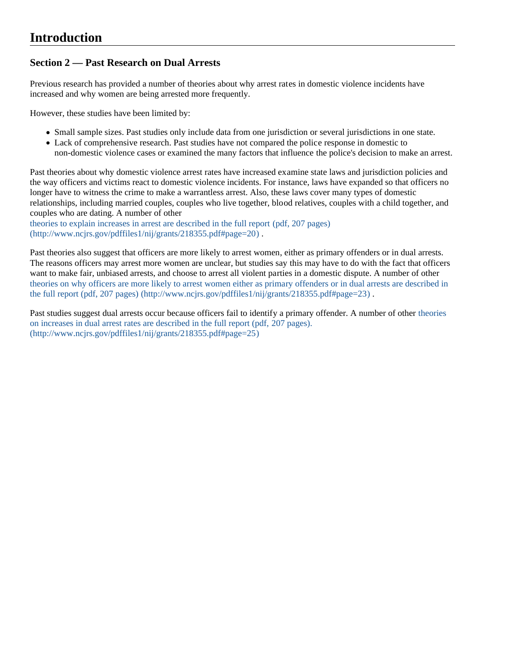### **Section 2 — Past Research on Dual Arrests**

Previous research has provided a number of theories about why arrest rates in domestic violence incidents have increased and why women are being arrested more frequently.

However, these studies have been limited by:

- Small sample sizes. Past studies only include data from one jurisdiction or several jurisdictions in one state.
- Lack of comprehensive research. Past studies have not compared the police response in domestic to non-domestic violence cases or examined the many factors that influence the police's decision to make an arrest.

Past theories about why domestic violence arrest rates have increased examine state laws and jurisdiction policies and the way officers and victims react to domestic violence incidents. For instance, laws have expanded so that officers no longer have to witness the crime to make a warrantless arrest. Also, these laws cover many types of domestic relationships, including married couples, couples who live together, blood relatives, couples with a child together, and couples who are dating. A number of other

theories to explain increases in arrest are described in the full report (pdf, 207 pages) (http://www.ncjrs.gov/pdffiles1/nij/grants/218355.pdf#page=20) .

Past theories also suggest that officers are more likely to arrest women, either as primary offenders or in dual arrests. The reasons officers may arrest more women are unclear, but studies say this may have to do with the fact that officers want to make fair, unbiased arrests, and choose to arrest all violent parties in a domestic dispute. A number of other theories on why officers are more likely to arrest women either as primary offenders or in dual arrests are described in the full report (pdf, 207 pages) (http://www.ncjrs.gov/pdffiles1/nij/grants/218355.pdf#page=23).

Past studies suggest dual arrests occur because officers fail to identify a primary offender. A number of other theories on increases in dual arrest rates are described in the full report (pdf, 207 pages). (http://www.ncjrs.gov/pdffiles1/nij/grants/218355.pdf#page=25)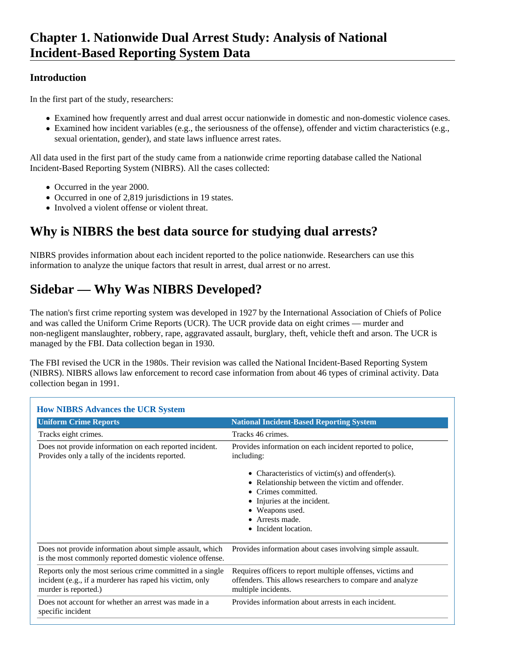In the first part of the study, researchers:

- Examined how frequently arrest and dual arrest occur nationwide in domestic and non-domestic violence cases.
- Examined how incident variables (e.g., the seriousness of the offense), offender and victim characteristics (e.g., sexual orientation, gender), and state laws influence arrest rates.

All data used in the first part of the study came from a nationwide crime reporting database called the National Incident-Based Reporting System (NIBRS). All the cases collected:

- Occurred in the year 2000.
- Occurred in one of 2,819 jurisdictions in 19 states.
- Involved a violent offense or violent threat.

## **Why is NIBRS the best data source for studying dual arrests?**

NIBRS provides information about each incident reported to the police nationwide. Researchers can use this information to analyze the unique factors that result in arrest, dual arrest or no arrest.

# **Sidebar — Why Was NIBRS Developed?**

The nation's first crime reporting system was developed in 1927 by the International Association of Chiefs of Police and was called the Uniform Crime Reports (UCR). The UCR provide data on eight crimes — murder and non-negligent manslaughter, robbery, rape, aggravated assault, burglary, theft, vehicle theft and arson. The UCR is managed by the FBI. Data collection began in 1930.

The FBI revised the UCR in the 1980s. Their revision was called the National Incident-Based Reporting System (NIBRS). NIBRS allows law enforcement to record case information from about 46 types of criminal activity. Data collection began in 1991.

| <b>How NIBRS Advances the UCR System</b>                                                                                                      |                                                                                                                                                                                                              |
|-----------------------------------------------------------------------------------------------------------------------------------------------|--------------------------------------------------------------------------------------------------------------------------------------------------------------------------------------------------------------|
| <b>Uniform Crime Reports</b>                                                                                                                  | <b>National Incident-Based Reporting System</b>                                                                                                                                                              |
| Tracks eight crimes.                                                                                                                          | Tracks 46 crimes.                                                                                                                                                                                            |
| Does not provide information on each reported incident.<br>Provides only a tally of the incidents reported.                                   | Provides information on each incident reported to police,<br>including:                                                                                                                                      |
|                                                                                                                                               | • Characteristics of victim(s) and offender(s).<br>• Relationship between the victim and offender.<br>Crimes committed.<br>Injuries at the incident.<br>Weapons used.<br>Arrests made.<br>Incident location. |
| Does not provide information about simple assault, which<br>is the most commonly reported domestic violence offense.                          | Provides information about cases involving simple assault.                                                                                                                                                   |
| Reports only the most serious crime committed in a single<br>incident (e.g., if a murderer has raped his victim, only<br>murder is reported.) | Requires officers to report multiple offenses, victims and<br>offenders. This allows researchers to compare and analyze<br>multiple incidents.                                                               |
| Does not account for whether an arrest was made in a<br>specific incident                                                                     | Provides information about arrests in each incident.                                                                                                                                                         |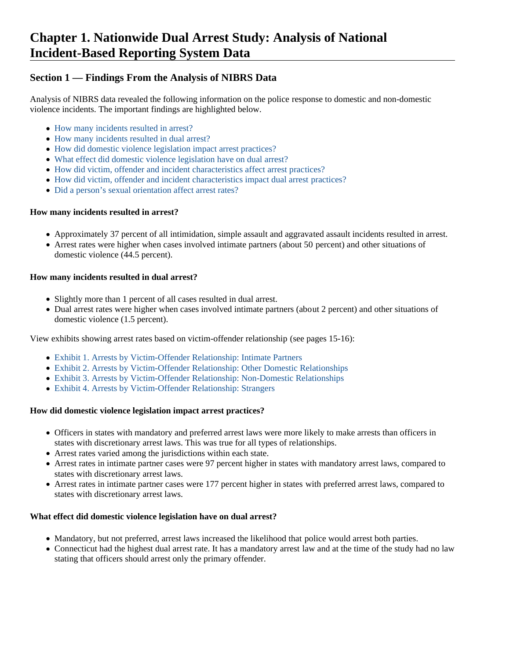### **Section 1 — Findings From the Analysis of NIBRS Data**

Analysis of NIBRS data revealed the following information on the police response to domestic and non-domestic violence incidents. The important findings are highlighted below.

- How many incidents resulted in arrest?
- How many incidents resulted in dual arrest?
- How did domestic violence legislation impact arrest practices?
- What effect did domestic violence legislation have on dual arrest?
- How did victim, offender and incident characteristics affect arrest practices?
- How did victim, offender and incident characteristics impact dual arrest practices?
- Did a person's sexual orientation affect arrest rates?

#### **How many incidents resulted in arrest?**

- Approximately 37 percent of all intimidation, simple assault and aggravated assault incidents resulted in arrest.
- Arrest rates were higher when cases involved intimate partners (about 50 percent) and other situations of domestic violence (44.5 percent).

#### **How many incidents resulted in dual arrest?**

- Slightly more than 1 percent of all cases resulted in dual arrest.
- Dual arrest rates were higher when cases involved intimate partners (about 2 percent) and other situations of domestic violence (1.5 percent).

View exhibits showing arrest rates based on victim-offender relationship (see pages 15-16):

- Exhibit 1. Arrests by Victim-Offender Relationship: Intimate Partners
- Exhibit 2. Arrests by Victim-Offender Relationship: Other Domestic Relationships
- Exhibit 3. Arrests by Victim-Offender Relationship: Non-Domestic Relationships
- Exhibit 4. Arrests by Victim-Offender Relationship: Strangers

#### **How did domestic violence legislation impact arrest practices?**

- Officers in states with mandatory and preferred arrest laws were more likely to make arrests than officers in states with discretionary arrest laws. This was true for all types of relationships.
- Arrest rates varied among the jurisdictions within each state.
- Arrest rates in intimate partner cases were 97 percent higher in states with mandatory arrest laws, compared to states with discretionary arrest laws.
- Arrest rates in intimate partner cases were 177 percent higher in states with preferred arrest laws, compared to states with discretionary arrest laws.

#### **What effect did domestic violence legislation have on dual arrest?**

- Mandatory, but not preferred, arrest laws increased the likelihood that police would arrest both parties.
- Connecticut had the highest dual arrest rate. It has a mandatory arrest law and at the time of the study had no law stating that officers should arrest only the primary offender.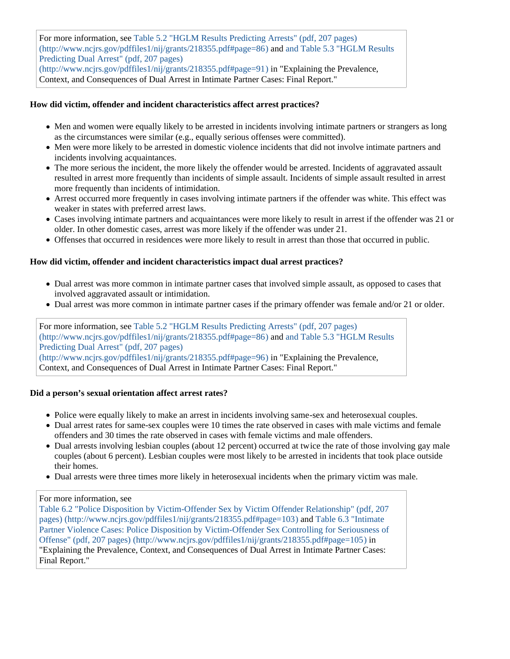For more information, see Table 5.2 "HGLM Results Predicting Arrests" (pdf, 207 pages) (http://www.ncjrs.gov/pdffiles1/nij/grants/218355.pdf#page=86) and and Table 5.3 "HGLM Results Predicting Dual Arrest" (pdf, 207 pages) (http://www.ncjrs.gov/pdffiles1/nij/grants/218355.pdf#page=91) in "Explaining the Prevalence,

Context, and Consequences of Dual Arrest in Intimate Partner Cases: Final Report."

#### **How did victim, offender and incident characteristics affect arrest practices?**

- Men and women were equally likely to be arrested in incidents involving intimate partners or strangers as long as the circumstances were similar (e.g., equally serious offenses were committed).
- Men were more likely to be arrested in domestic violence incidents that did not involve intimate partners and incidents involving acquaintances.
- The more serious the incident, the more likely the offender would be arrested. Incidents of aggravated assault resulted in arrest more frequently than incidents of simple assault. Incidents of simple assault resulted in arrest more frequently than incidents of intimidation.
- Arrest occurred more frequently in cases involving intimate partners if the offender was white. This effect was weaker in states with preferred arrest laws.
- Cases involving intimate partners and acquaintances were more likely to result in arrest if the offender was 21 or older. In other domestic cases, arrest was more likely if the offender was under 21.
- Offenses that occurred in residences were more likely to result in arrest than those that occurred in public.

#### **How did victim, offender and incident characteristics impact dual arrest practices?**

- Dual arrest was more common in intimate partner cases that involved simple assault, as opposed to cases that involved aggravated assault or intimidation.
- Dual arrest was more common in intimate partner cases if the primary offender was female and/or 21 or older.

For more information, see Table 5.2 "HGLM Results Predicting Arrests" (pdf, 207 pages) (http://www.ncjrs.gov/pdffiles1/nij/grants/218355.pdf#page=86) and and Table 5.3 "HGLM Results Predicting Dual Arrest" (pdf, 207 pages) (http://www.ncjrs.gov/pdffiles1/nij/grants/218355.pdf#page=96) in "Explaining the Prevalence, Context, and Consequences of Dual Arrest in Intimate Partner Cases: Final Report."

#### **Did a person's sexual orientation affect arrest rates?**

- Police were equally likely to make an arrest in incidents involving same-sex and heterosexual couples.
- Dual arrest rates for same-sex couples were 10 times the rate observed in cases with male victims and female offenders and 30 times the rate observed in cases with female victims and male offenders.
- Dual arrests involving lesbian couples (about 12 percent) occurred at twice the rate of those involving gay male couples (about 6 percent). Lesbian couples were most likely to be arrested in incidents that took place outside their homes.
- Dual arrests were three times more likely in heterosexual incidents when the primary victim was male.

#### For more information, see

Table 6.2 "Police Disposition by Victim-Offender Sex by Victim Offender Relationship" (pdf, 207 pages) (http://www.ncjrs.gov/pdffiles1/nij/grants/218355.pdf#page=103) and Table 6.3 "Intimate Partner Violence Cases: Police Disposition by Victim-Offender Sex Controlling for Seriousness of Offense" (pdf, 207 pages) (http://www.ncjrs.gov/pdffiles1/nij/grants/218355.pdf#page=105) in "Explaining the Prevalence, Context, and Consequences of Dual Arrest in Intimate Partner Cases: Final Report."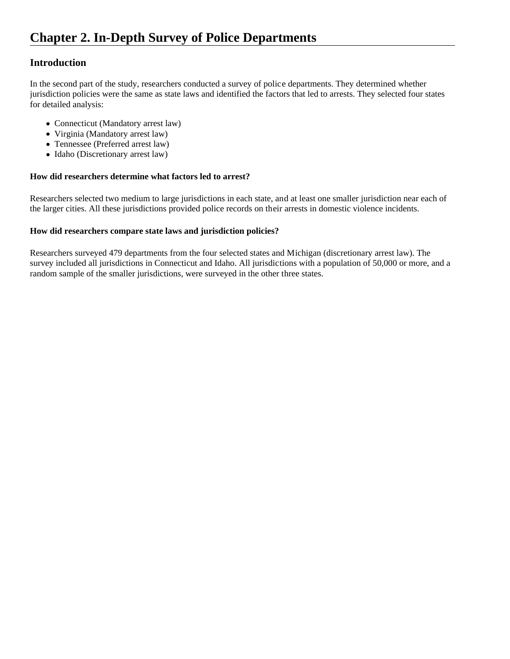In the second part of the study, researchers conducted a survey of police departments. They determined whether jurisdiction policies were the same as state laws and identified the factors that led to arrests. They selected four states for detailed analysis:

- Connecticut (Mandatory arrest law)
- Virginia (Mandatory arrest law)
- Tennessee (Preferred arrest law)
- Idaho (Discretionary arrest law)

#### **How did researchers determine what factors led to arrest?**

Researchers selected two medium to large jurisdictions in each state, and at least one smaller jurisdiction near each of the larger cities. All these jurisdictions provided police records on their arrests in domestic violence incidents.

#### **How did researchers compare state laws and jurisdiction policies?**

Researchers surveyed 479 departments from the four selected states and Michigan (discretionary arrest law). The survey included all jurisdictions in Connecticut and Idaho. All jurisdictions with a population of 50,000 or more, and a random sample of the smaller jurisdictions, were surveyed in the other three states.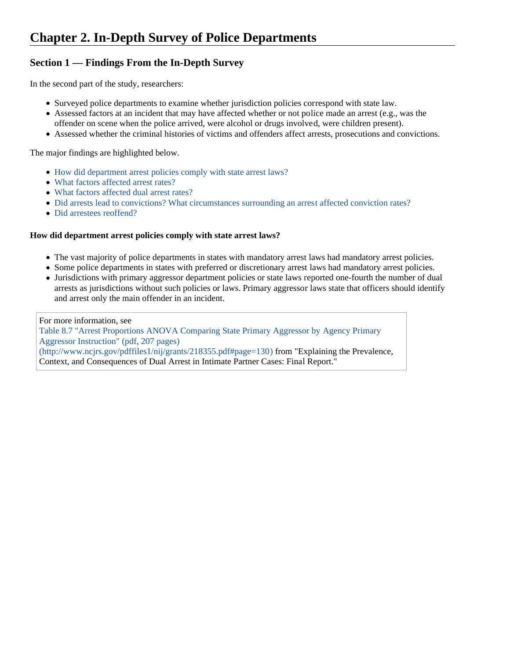### **Section 1 — Findings From the In-Depth Survey**

In the second part of the study, researchers:

- Surveyed police departments to examine whether jurisdiction policies correspond with state law.
- Assessed factors at an incident that may have affected whether or not police made an arrest (e.g., was the offender on scene when the police arrived, were alcohol or drugs involved, were children present).
- Assessed whether the criminal histories of victims and offenders affect arrests, prosecutions and convictions.

The major findings are highlighted below.

- How did department arrest policies comply with state arrest laws?
- What factors affected arrest rates?
- What factors affected dual arrest rates?
- Did arrests lead to convictions? What circumstances surrounding an arrest affected conviction rates?
- Did arrestees reoffend?

#### **How did department arrest policies comply with state arrest laws?**

- The vast majority of police departments in states with mandatory arrest laws had mandatory arrest policies.
- Some police departments in states with preferred or discretionary arrest laws had mandatory arrest policies.
- Jurisdictions with primary aggressor department policies or state laws reported one-fourth the number of dual arrests as jurisdictions without such policies or laws. Primary aggressor laws state that officers should identify and arrest only the main offender in an incident.

For more information, see Table 8.7 "Arrest Proportions ANOVA Comparing State Primary Aggressor by Agency Primary Aggressor Instruction" (pdf, 207 pages) (http://www.ncjrs.gov/pdffiles1/nij/grants/218355.pdf#page=130) from "Explaining the Prevalence, Context, and Consequences of Dual Arrest in Intimate Partner Cases: Final Report."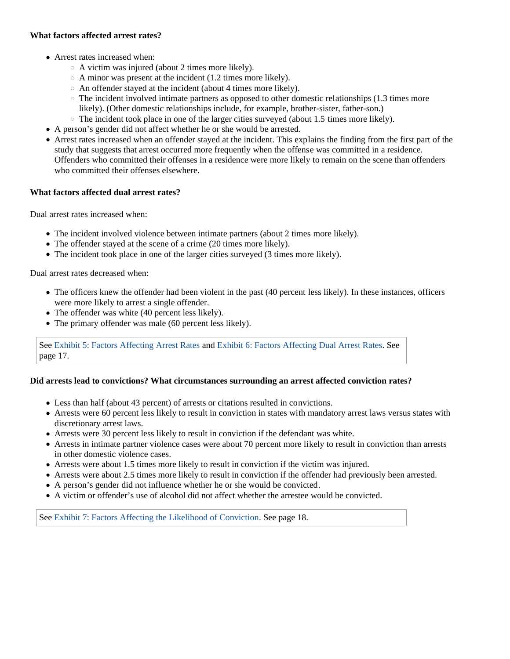#### **What factors affected arrest rates?**

- Arrest rates increased when:
	- $\circ$  A victim was injured (about 2 times more likely).
	- $\circ$  A minor was present at the incident (1.2 times more likely).
	- An offender stayed at the incident (about 4 times more likely).
	- $\circ$  The incident involved intimate partners as opposed to other domestic relationships (1.3 times more likely). (Other domestic relationships include, for example, brother-sister, father-son.)
	- $\circ$  The incident took place in one of the larger cities surveyed (about 1.5 times more likely).
- A person's gender did not affect whether he or she would be arrested.
- Arrest rates increased when an offender stayed at the incident. This explains the finding from the first part of the study that suggests that arrest occurred more frequently when the offense was committed in a residence. Offenders who committed their offenses in a residence were more likely to remain on the scene than offenders who committed their offenses elsewhere.

#### **What factors affected dual arrest rates?**

Dual arrest rates increased when:

- The incident involved violence between intimate partners (about 2 times more likely).
- The offender stayed at the scene of a crime (20 times more likely).
- The incident took place in one of the larger cities surveyed (3 times more likely).

Dual arrest rates decreased when:

- The officers knew the offender had been violent in the past (40 percent less likely). In these instances, officers were more likely to arrest a single offender.
- The offender was white (40 percent less likely).
- The primary offender was male (60 percent less likely).

See Exhibit 5: Factors Affecting Arrest Rates and Exhibit 6: Factors Affecting Dual Arrest Rates. See page 17.

#### **Did arrests lead to convictions? What circumstances surrounding an arrest affected conviction rates?**

- Less than half (about 43 percent) of arrests or citations resulted in convictions.
- Arrests were 60 percent less likely to result in conviction in states with mandatory arrest laws versus states with discretionary arrest laws.
- Arrests were 30 percent less likely to result in conviction if the defendant was white.
- Arrests in intimate partner violence cases were about 70 percent more likely to result in conviction than arrests in other domestic violence cases.
- Arrests were about 1.5 times more likely to result in conviction if the victim was injured.
- Arrests were about 2.5 times more likely to result in conviction if the offender had previously been arrested.
- A person's gender did not influence whether he or she would be convicted.
- A victim or offender's use of alcohol did not affect whether the arrestee would be convicted.

See Exhibit 7: Factors Affecting the Likelihood of Conviction. See page 18.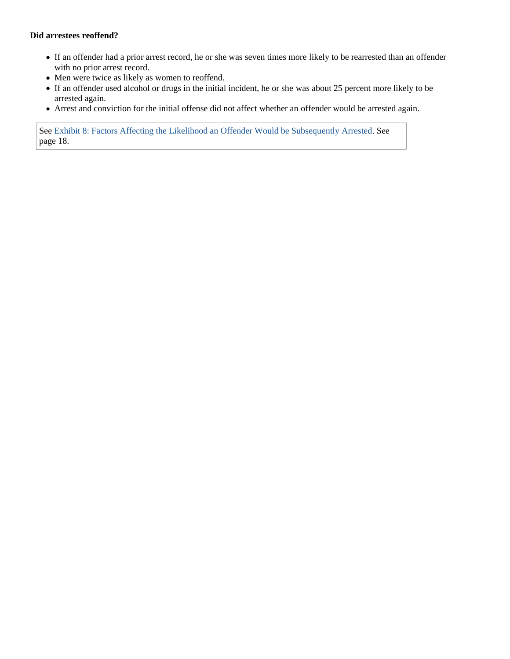#### **Did arrestees reoffend?**

- If an offender had a prior arrest record, he or she was seven times more likely to be rearrested than an offender with no prior arrest record.
- Men were twice as likely as women to reoffend.
- If an offender used alcohol or drugs in the initial incident, he or she was about 25 percent more likely to be arrested again.
- Arrest and conviction for the initial offense did not affect whether an offender would be arrested again.

See Exhibit 8: Factors Affecting the Likelihood an Offender Would be Subsequently Arrested. See page 18.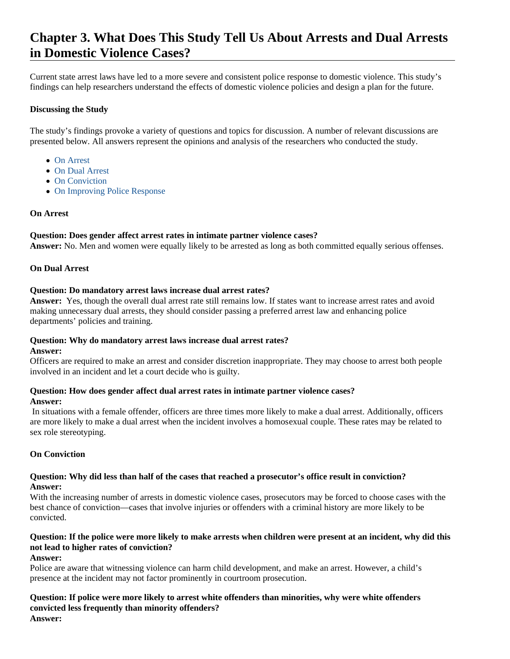## **Chapter 3. What Does This Study Tell Us About Arrests and Dual Arrests in Domestic Violence Cases?**

Current state arrest laws have led to a more severe and consistent police response to domestic violence. This study's findings can help researchers understand the effects of domestic violence policies and design a plan for the future.

#### **Discussing the Study**

The study's findings provoke a variety of questions and topics for discussion. A number of relevant discussions are presented below. All answers represent the opinions and analysis of the researchers who conducted the study.

- On Arrest
- On Dual Arrest
- On Conviction
- On Improving Police Response

#### **On Arrest**

#### **Question: Does gender affect arrest rates in intimate partner violence cases?**

**Answer:** No. Men and women were equally likely to be arrested as long as both committed equally serious offenses.

#### **On Dual Arrest**

#### **Question: Do mandatory arrest laws increase dual arrest rates?**

**Answer:** Yes, though the overall dual arrest rate still remains low. If states want to increase arrest rates and avoid making unnecessary dual arrests, they should consider passing a preferred arrest law and enhancing police departments' policies and training.

### **Question: Why do mandatory arrest laws increase dual arrest rates?**

#### **Answer:**

Officers are required to make an arrest and consider discretion inappropriate. They may choose to arrest both people involved in an incident and let a court decide who is guilty.

#### **Question: How does gender affect dual arrest rates in intimate partner violence cases?**

#### **Answer:**

 In situations with a female offender, officers are three times more likely to make a dual arrest. Additionally, officers are more likely to make a dual arrest when the incident involves a homosexual couple. These rates may be related to sex role stereotyping.

#### **On Conviction**

#### **Question: Why did less than half of the cases that reached a prosecutor's office result in conviction? Answer:**

With the increasing number of arrests in domestic violence cases, prosecutors may be forced to choose cases with the best chance of conviction—cases that involve injuries or offenders with a criminal history are more likely to be convicted.

### **Question: If the police were more likely to make arrests when children were present at an incident, why did this not lead to higher rates of conviction?**

#### **Answer:**

Police are aware that witnessing violence can harm child development, and make an arrest. However, a child's presence at the incident may not factor prominently in courtroom prosecution.

#### **Question: If police were more likely to arrest white offenders than minorities, why were white offenders convicted less frequently than minority offenders? Answer:**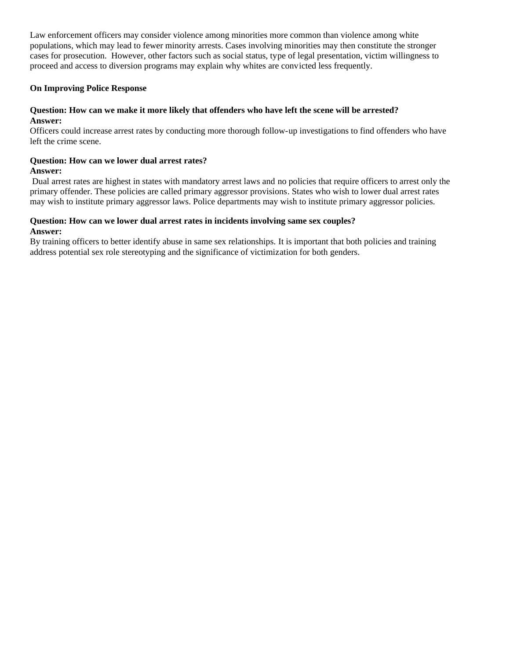Law enforcement officers may consider violence among minorities more common than violence among white populations, which may lead to fewer minority arrests. Cases involving minorities may then constitute the stronger cases for prosecution. However, other factors such as social status, type of legal presentation, victim willingness to proceed and access to diversion programs may explain why whites are convicted less frequently.

#### **On Improving Police Response**

#### **Question: How can we make it more likely that offenders who have left the scene will be arrested? Answer:**

Officers could increase arrest rates by conducting more thorough follow-up investigations to find offenders who have left the crime scene.

#### **Question: How can we lower dual arrest rates? Answer:**

 Dual arrest rates are highest in states with mandatory arrest laws and no policies that require officers to arrest only the primary offender. These policies are called primary aggressor provisions. States who wish to lower dual arrest rates may wish to institute primary aggressor laws. Police departments may wish to institute primary aggressor policies.

### **Question: How can we lower dual arrest rates in incidents involving same sex couples?**

#### **Answer:**

By training officers to better identify abuse in same sex relationships. It is important that both policies and training address potential sex role stereotyping and the significance of victimization for both genders.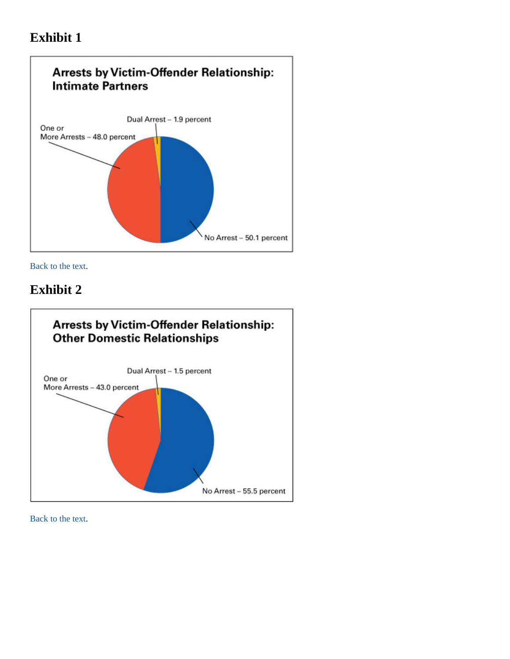

Back to the text.

### **Exhibit 2**

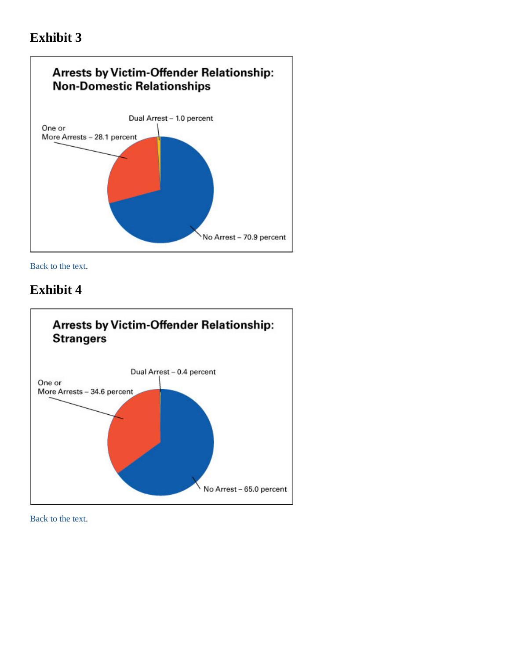

Back to the text.

### **Exhibit 4**

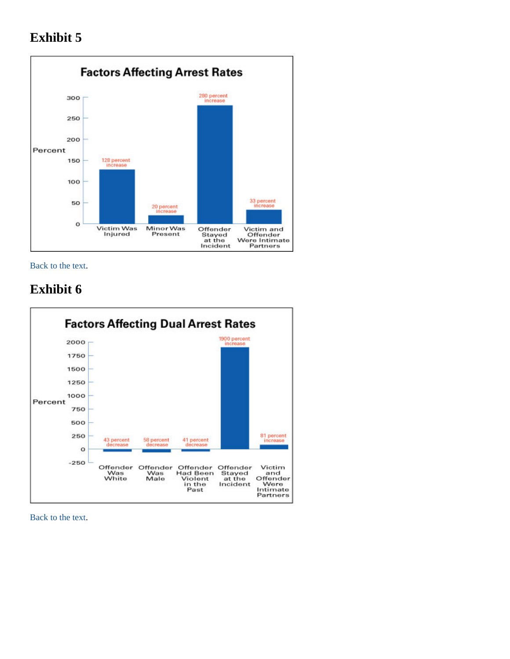

Back to the text.

# **Exhibit 6**

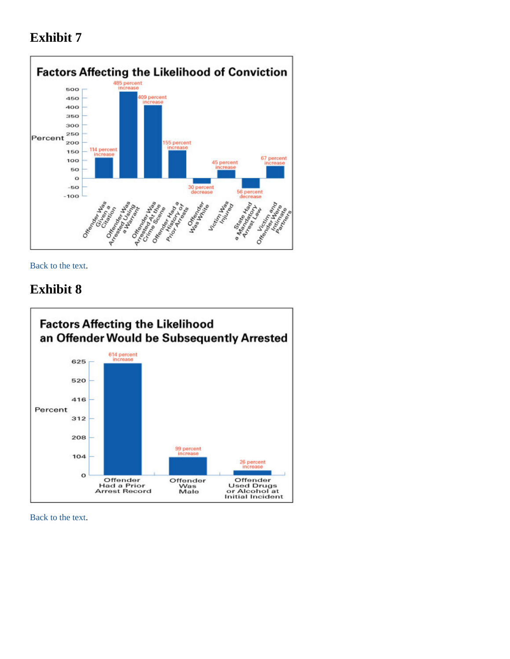

Back to the text.

## **Exhibit 8**

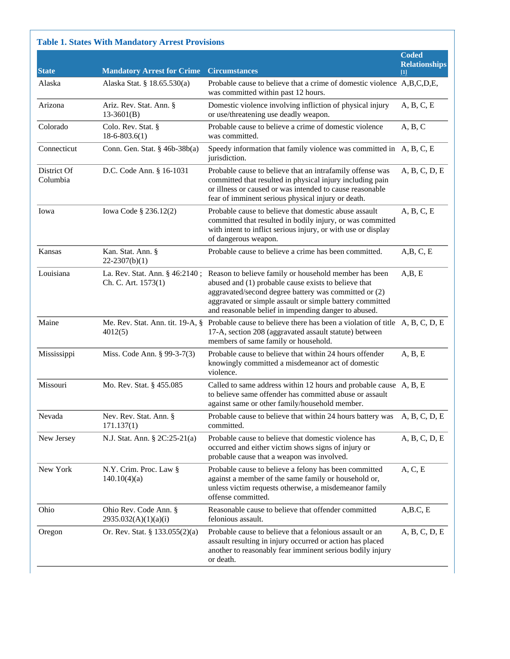|                         |                                                       |                                                                                                                                                                                                                                                                                            | <b>Coded</b>                                                                                                                                                                                                           |
|-------------------------|-------------------------------------------------------|--------------------------------------------------------------------------------------------------------------------------------------------------------------------------------------------------------------------------------------------------------------------------------------------|------------------------------------------------------------------------------------------------------------------------------------------------------------------------------------------------------------------------|
| <b>State</b>            | <b>Mandatory Arrest for Crime</b>                     | <b>Circumstances</b>                                                                                                                                                                                                                                                                       | <b>Relationships</b><br>$[1] % \centering \includegraphics[width=0.35\textwidth]{images/TrDiM-Architecture.png} \caption{The figure shows the number of parameters in the left and right.} \label{TrDiM-Architecture}$ |
| Alaska                  | Alaska Stat. § 18.65.530(a)                           | Probable cause to believe that a crime of domestic violence A,B,C,D,E,<br>was committed within past 12 hours.                                                                                                                                                                              |                                                                                                                                                                                                                        |
| Arizona                 | Ariz. Rev. Stat. Ann. §<br>$13-3601(B)$               | Domestic violence involving infliction of physical injury<br>or use/threatening use deadly weapon.                                                                                                                                                                                         | A, B, C, E                                                                                                                                                                                                             |
| Colorado                | Colo. Rev. Stat. §<br>$18-6-803.6(1)$                 | Probable cause to believe a crime of domestic violence<br>was committed.                                                                                                                                                                                                                   | A, B, C                                                                                                                                                                                                                |
| Connecticut             | Conn. Gen. Stat. § 46b-38b(a)                         | Speedy information that family violence was committed in A, B, C, E<br>jurisdiction.                                                                                                                                                                                                       |                                                                                                                                                                                                                        |
| District Of<br>Columbia | D.C. Code Ann. § 16-1031                              | Probable cause to believe that an intrafamily offense was<br>committed that resulted in physical injury including pain<br>or illness or caused or was intended to cause reasonable<br>fear of imminent serious physical injury or death.                                                   | A, B, C, D, E                                                                                                                                                                                                          |
| Iowa                    | Iowa Code § 236.12(2)                                 | Probable cause to believe that domestic abuse assault<br>committed that resulted in bodily injury, or was committed<br>with intent to inflict serious injury, or with use or display<br>of dangerous weapon.                                                                               | A, B, C, E                                                                                                                                                                                                             |
| Kansas                  | Kan. Stat. Ann. §<br>$22 - 2307(b)(1)$                | Probable cause to believe a crime has been committed.                                                                                                                                                                                                                                      | A,B,C,E                                                                                                                                                                                                                |
| Louisiana               | La. Rev. Stat. Ann. § 46:2140;<br>Ch. C. Art. 1573(1) | Reason to believe family or household member has been<br>abused and (1) probable cause exists to believe that<br>aggravated/second degree battery was committed or (2)<br>aggravated or simple assault or simple battery committed<br>and reasonable belief in impending danger to abused. | A,B,E                                                                                                                                                                                                                  |
| Maine                   | Me. Rev. Stat. Ann. tit. 19-A, §<br>4012(5)           | Probable cause to believe there has been a violation of title A, B, C, D, E<br>17-A, section 208 (aggravated assault statute) between<br>members of same family or household.                                                                                                              |                                                                                                                                                                                                                        |
| Mississippi             | Miss. Code Ann. § 99-3-7(3)                           | Probable cause to believe that within 24 hours offender<br>knowingly committed a misdemeanor act of domestic<br>violence.                                                                                                                                                                  | A, B, E                                                                                                                                                                                                                |
| Missouri                | Mo. Rev. Stat. § 455.085                              | Called to same address within 12 hours and probable cause A, B, E<br>to believe same offender has committed abuse or assault<br>against same or other family/household member.                                                                                                             |                                                                                                                                                                                                                        |
| Nevada                  | Nev. Rev. Stat. Ann. §<br>171.137(1)                  | Probable cause to believe that within 24 hours battery was<br>committed.                                                                                                                                                                                                                   | A, B, C, D, E                                                                                                                                                                                                          |
| New Jersey              | N.J. Stat. Ann. § 2C:25-21(a)                         | Probable cause to believe that domestic violence has<br>occurred and either victim shows signs of injury or<br>probable cause that a weapon was involved.                                                                                                                                  | A, B, C, D, E                                                                                                                                                                                                          |
| New York                | N.Y. Crim. Proc. Law §<br>140.10(4)(a)                | Probable cause to believe a felony has been committed<br>against a member of the same family or household or,<br>unless victim requests otherwise, a misdemeanor family<br>offense committed.                                                                                              | A, C, E                                                                                                                                                                                                                |
| Ohio                    | Ohio Rev. Code Ann. §<br>2935.032(A)(1)(a)(i)         | Reasonable cause to believe that offender committed<br>felonious assault.                                                                                                                                                                                                                  | A, B, C, E                                                                                                                                                                                                             |
| Oregon                  | Or. Rev. Stat. $\S$ 133.055(2)(a)                     | Probable cause to believe that a felonious assault or an<br>assault resulting in injury occurred or action has placed<br>another to reasonably fear imminent serious bodily injury<br>or death.                                                                                            | A, B, C, D, E                                                                                                                                                                                                          |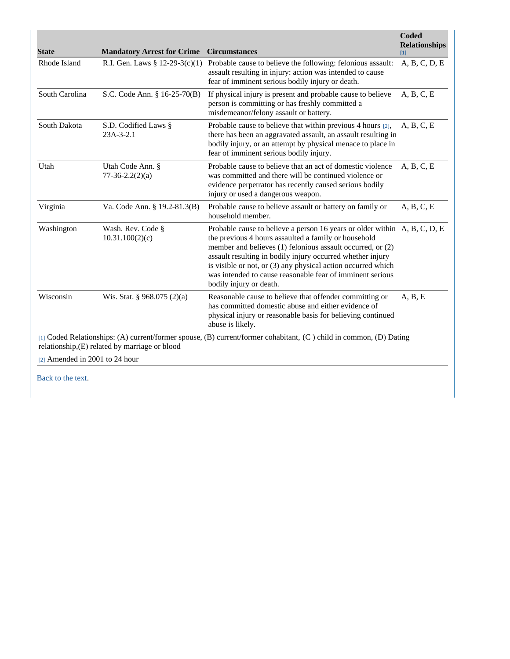| <b>State</b>                   | <b>Mandatory Arrest for Crime</b>              | <b>Circumstances</b>                                                                                                                                                                                                                                                                                                                                                                                                  | <b>Coded</b><br><b>Relationships</b><br>Ш |
|--------------------------------|------------------------------------------------|-----------------------------------------------------------------------------------------------------------------------------------------------------------------------------------------------------------------------------------------------------------------------------------------------------------------------------------------------------------------------------------------------------------------------|-------------------------------------------|
| Rhode Island                   | R.I. Gen. Laws § 12-29-3(c)(1)                 | Probable cause to believe the following: felonious assault:<br>assault resulting in injury: action was intended to cause<br>fear of imminent serious bodily injury or death.                                                                                                                                                                                                                                          | A, B, C, D, E                             |
| South Carolina                 | S.C. Code Ann. § 16-25-70(B)                   | If physical injury is present and probable cause to believe<br>person is committing or has freshly committed a<br>misdemeanor/felony assault or battery.                                                                                                                                                                                                                                                              | A, B, C, E                                |
| South Dakota                   | S.D. Codified Laws §<br>$23A-3-2.1$            | Probable cause to believe that within previous 4 hours [2],<br>there has been an aggravated assault, an assault resulting in<br>bodily injury, or an attempt by physical menace to place in<br>fear of imminent serious bodily injury.                                                                                                                                                                                | A, B, C, E                                |
| Utah                           | Utah Code Ann. §<br>$77-36-2.2(2)(a)$          | Probable cause to believe that an act of domestic violence<br>was committed and there will be continued violence or<br>evidence perpetrator has recently caused serious bodily<br>injury or used a dangerous weapon.                                                                                                                                                                                                  | A, B, C, E                                |
| Virginia                       | Va. Code Ann. § 19.2-81.3(B)                   | Probable cause to believe assault or battery on family or<br>household member.                                                                                                                                                                                                                                                                                                                                        | A, B, C, E                                |
| Washington                     | Wash. Rev. Code §<br>10.31.100(2)(c)           | Probable cause to believe a person 16 years or older within A, B, C, D, E<br>the previous 4 hours assaulted a family or household<br>member and believes (1) felonious assault occurred, or (2)<br>assault resulting in bodily injury occurred whether injury<br>is visible or not, or (3) any physical action occurred which<br>was intended to cause reasonable fear of imminent serious<br>bodily injury or death. |                                           |
| Wisconsin                      | Wis. Stat. § 968.075 (2)(a)                    | Reasonable cause to believe that offender committing or<br>has committed domestic abuse and either evidence of<br>physical injury or reasonable basis for believing continued<br>abuse is likely.                                                                                                                                                                                                                     | A, B, E                                   |
|                                | relationship, (E) related by marriage or blood | [1] Coded Relationships: (A) current/former spouse, (B) current/former cohabitant, (C) child in common, (D) Dating                                                                                                                                                                                                                                                                                                    |                                           |
| [2] Amended in 2001 to 24 hour |                                                |                                                                                                                                                                                                                                                                                                                                                                                                                       |                                           |
| Back to the text.              |                                                |                                                                                                                                                                                                                                                                                                                                                                                                                       |                                           |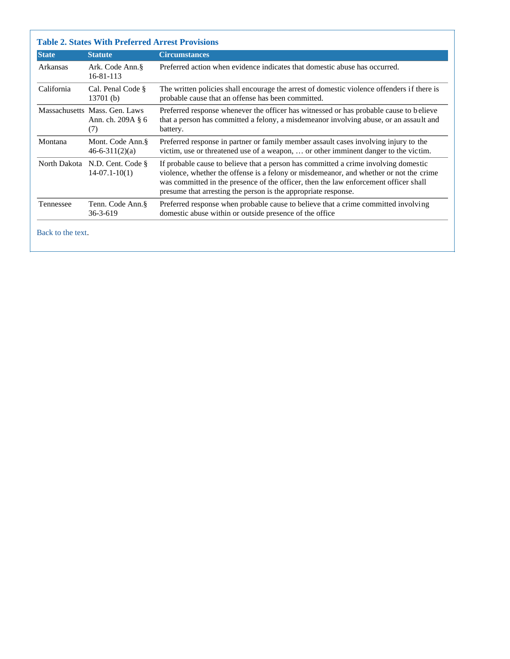| <b>State</b> | <b>Statute</b>                                                     | <b>Circumstances</b>                                                                                                                                                                                                                                                                                                                    |
|--------------|--------------------------------------------------------------------|-----------------------------------------------------------------------------------------------------------------------------------------------------------------------------------------------------------------------------------------------------------------------------------------------------------------------------------------|
| Arkansas     | Ark. Code Ann. §<br>$16 - 81 - 113$                                | Preferred action when evidence indicates that domestic abuse has occurred.                                                                                                                                                                                                                                                              |
| California   | Cal. Penal Code §<br>13701(b)                                      | The written policies shall encourage the arrest of domestic violence offenders if there is<br>probable cause that an offense has been committed.                                                                                                                                                                                        |
|              | Massachusetts Mass, Gen. Laws<br>Ann. ch. $209A \, \S \, 6$<br>(7) | Preferred response whenever the officer has witnessed or has probable cause to believe<br>that a person has committed a felony, a misdemeanor involving abuse, or an assault and<br>battery.                                                                                                                                            |
| Montana      | Mont. Code Ann. §<br>$46 - 6 - 311(2)(a)$                          | Preferred response in partner or family member assault cases involving injury to the<br>victim, use or threatened use of a weapon,  or other imminent danger to the victim.                                                                                                                                                             |
| North Dakota | N.D. Cent. Code $\S$<br>$14-07.1-10(1)$                            | If probable cause to believe that a person has committed a crime involving domestic<br>violence, whether the offense is a felony or misdemeanor, and whether or not the crime<br>was committed in the presence of the officer, then the law enforcement officer shall<br>presume that arresting the person is the appropriate response. |
| Tennessee    | Tenn. Code Ann.§<br>$36 - 3 - 619$                                 | Preferred response when probable cause to believe that a crime committed involving<br>domestic abuse within or outside presence of the office                                                                                                                                                                                           |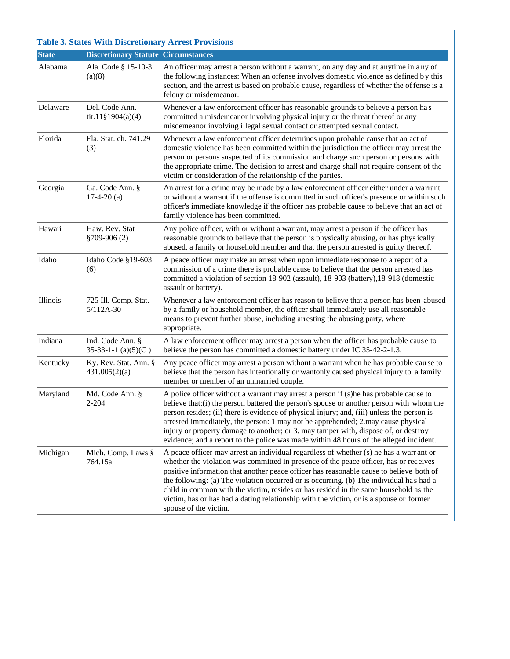| <b>State</b> | <b>Discretionary Statute Circumstances</b> |                                                                                                                                                                                                                                                                                                                                                                                                                                                                                                                                                                                  |
|--------------|--------------------------------------------|----------------------------------------------------------------------------------------------------------------------------------------------------------------------------------------------------------------------------------------------------------------------------------------------------------------------------------------------------------------------------------------------------------------------------------------------------------------------------------------------------------------------------------------------------------------------------------|
| Alabama      | Ala. Code § 15-10-3<br>(a)(8)              | An officer may arrest a person without a warrant, on any day and at anytime in any of<br>the following instances: When an offense involves domestic violence as defined by this<br>section, and the arrest is based on probable cause, regardless of whether the of fense is a<br>felony or misdemeanor.                                                                                                                                                                                                                                                                         |
| Delaware     | Del. Code Ann.<br>$tit.11$ §1904(a)(4)     | Whenever a law enforcement officer has reasonable grounds to believe a person has<br>committed a misdemeanor involving physical injury or the threat thereof or any<br>misdemeanor involving illegal sexual contact or attempted sexual contact.                                                                                                                                                                                                                                                                                                                                 |
| Florida      | Fla. Stat. ch. 741.29<br>(3)               | Whenever a law enforcement officer determines upon probable cause that an act of<br>domestic violence has been committed within the jurisdiction the officer may arrest the<br>person or persons suspected of its commission and charge such person or persons with<br>the appropriate crime. The decision to arrest and charge shall not require consent of the<br>victim or consideration of the relationship of the parties.                                                                                                                                                  |
| Georgia      | Ga. Code Ann. §<br>$17-4-20$ (a)           | An arrest for a crime may be made by a law enforcement officer either under a warrant<br>or without a warrant if the offense is committed in such officer's presence or within such<br>officer's immediate knowledge if the officer has probable cause to believe that an act of<br>family violence has been committed.                                                                                                                                                                                                                                                          |
| Hawaii       | Haw. Rev. Stat<br>§709-906(2)              | Any police officer, with or without a warrant, may arrest a person if the officer has<br>reasonable grounds to believe that the person is physically abusing, or has physically<br>abused, a family or household member and that the person arrested is guilty thereof.                                                                                                                                                                                                                                                                                                          |
| Idaho        | Idaho Code §19-603<br>(6)                  | A peace officer may make an arrest when upon immediate response to a report of a<br>commission of a crime there is probable cause to believe that the person arrested has<br>committed a violation of section 18-902 (assault), 18-903 (battery), 18-918 (domestic<br>assault or battery).                                                                                                                                                                                                                                                                                       |
| Illinois     | 725 Ill. Comp. Stat.<br>$5/112A-30$        | Whenever a law enforcement officer has reason to believe that a person has been abused<br>by a family or household member, the officer shall immediately use all reasonable<br>means to prevent further abuse, including arresting the abusing party, where<br>appropriate.                                                                                                                                                                                                                                                                                                      |
| Indiana      | Ind. Code Ann. §<br>35-33-1-1 $(a)(5)(C)$  | A law enforcement officer may arrest a person when the officer has probable cause to<br>believe the person has committed a domestic battery under IC 35-42-2-1.3.                                                                                                                                                                                                                                                                                                                                                                                                                |
| Kentucky     | Ky. Rev. Stat. Ann. §<br>431.005(2)(a)     | Any peace officer may arrest a person without a warrant when he has probable cau se to<br>believe that the person has intentionally or wantonly caused physical injury to a family<br>member or member of an unmarried couple.                                                                                                                                                                                                                                                                                                                                                   |
| Maryland     | Md. Code Ann. §<br>$2 - 204$               | A police officer without a warrant may arrest a person if (s)he has probable cause to<br>believe that:(i) the person battered the person's spouse or another person with whom the<br>person resides; (ii) there is evidence of physical injury; and, (iii) unless the person is<br>arrested immediately, the person: 1 may not be apprehended; 2 may cause physical<br>injury or property damage to another; or 3. may tamper with, dispose of, or destroy<br>evidence; and a report to the police was made within 48 hours of the alleged incident.                             |
| Michigan     | Mich. Comp. Laws §<br>764.15a              | A peace officer may arrest an individual regardless of whether (s) he has a warrant or<br>whether the violation was committed in presence of the peace officer, has or receives<br>positive information that another peace officer has reasonable cause to believe both of<br>the following: (a) The violation occurred or is occurring. (b) The individual has had a<br>child in common with the victim, resides or has resided in the same household as the<br>victim, has or has had a dating relationship with the victim, or is a spouse or former<br>spouse of the victim. |